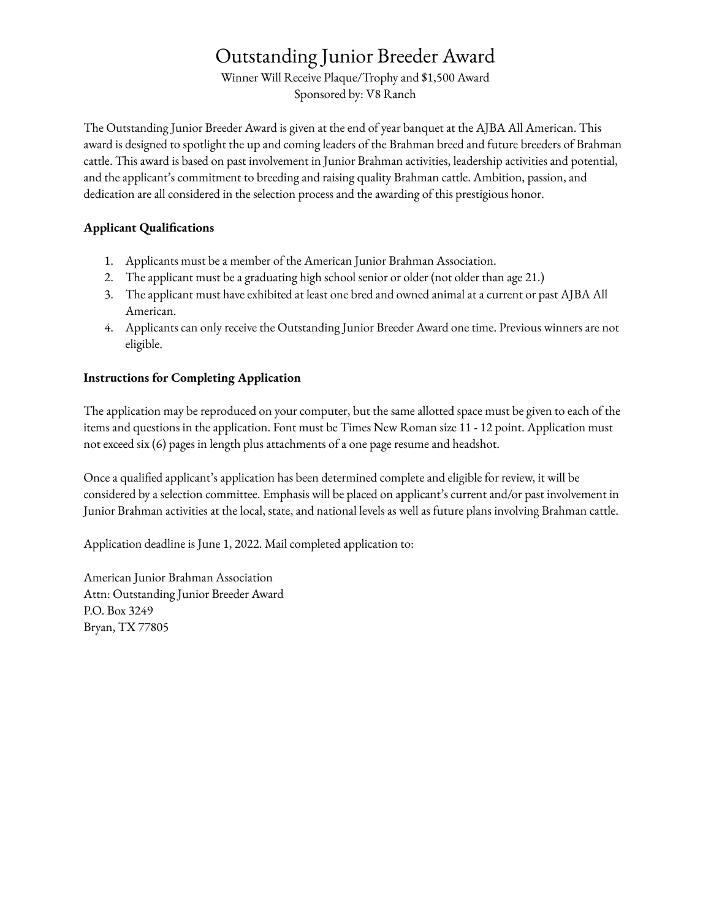# Outstanding Junior Breeder Award

Winner Will Receive Plaque/Trophy and \$1,500 Award Sponsored by: V8 Ranch

The Outstanding Junior Breeder Award is given at the end of year banquet at the AJBA All American. This award is designed to spotlight the up and coming leaders of the Brahman breed and future breeders of Brahman cattle. This award is based on past involvement in Junior Brahman activities, leadership activities and potential, and the applicant's commitment to breeding and raising quality Brahman cattle. Ambition, passion, and dedication are all considered in the selection process and the awarding of this prestigious honor.

#### **Applicant Qualifications**

- 1. Applicants must be a member of the American Junior Brahman Association.
- 2. The applicant must be a graduating high school senior or older (not older than age 21.)
- 3. The applicant must have exhibited at least one bred and owned animal at a current or past AJBA All American.
- 4. Applicants can only receive the Outstanding Junior Breeder Award one time. Previous winners are not eligible.

#### **Instructions for Completing Application**

The application may be reproduced on your computer, but the same allotted space must be given to each of the items and questions in the application. Font must be Times New Roman size 11 - 12 point. Application must not exceed six (6) pages in length plus attachments of a one page resume and headshot.

Once a qualified applicant's application has been determined complete and eligible for review, it will be considered by a selection committee. Emphasis will be placed on applicant's current and/or past involvement in Junior Brahman activities at the local, state, and national levels as well as future plans involving Brahman cattle.

Application deadline is June 1, 2022. Mail completed application to:

American Junior Brahman Association Attn: Outstanding Junior Breeder Award P.O. Box 3249 Bryan, TX 77805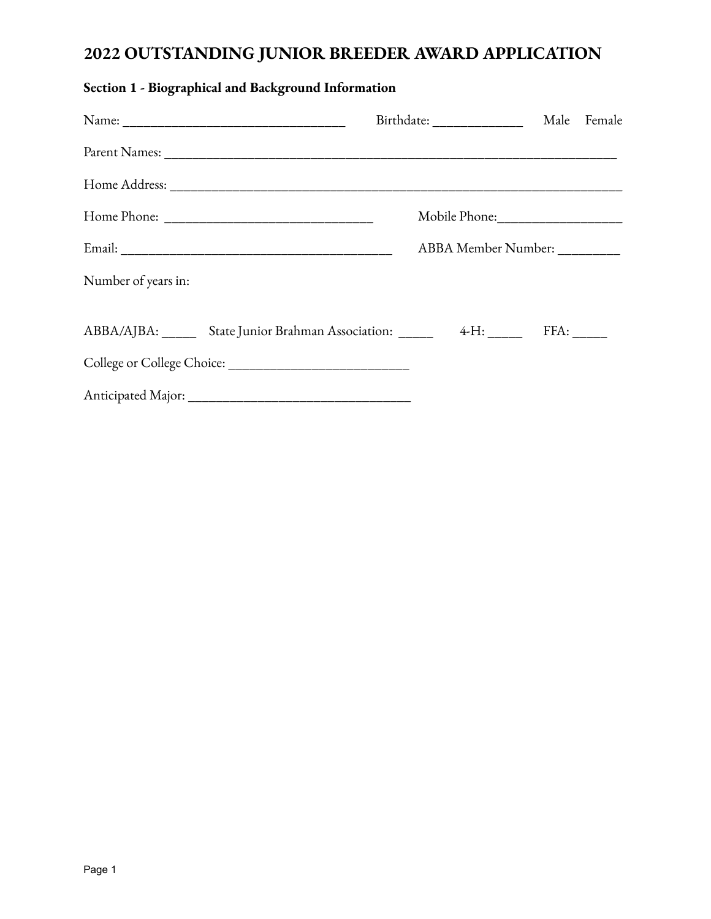## **2022 OUTSTANDING JUNIOR BREEDER AWARD APPLICATION**

|                                                             | Birthdate: ________________ Male Female |  |
|-------------------------------------------------------------|-----------------------------------------|--|
|                                                             |                                         |  |
|                                                             |                                         |  |
|                                                             |                                         |  |
|                                                             | ABBA Member Number: _________           |  |
| Number of years in:                                         |                                         |  |
| ABBA/AJBA: State Junior Brahman Association: 4-H: FFA: FFA: |                                         |  |
|                                                             |                                         |  |
|                                                             |                                         |  |

## **Section 1 - Biographical and Background Information**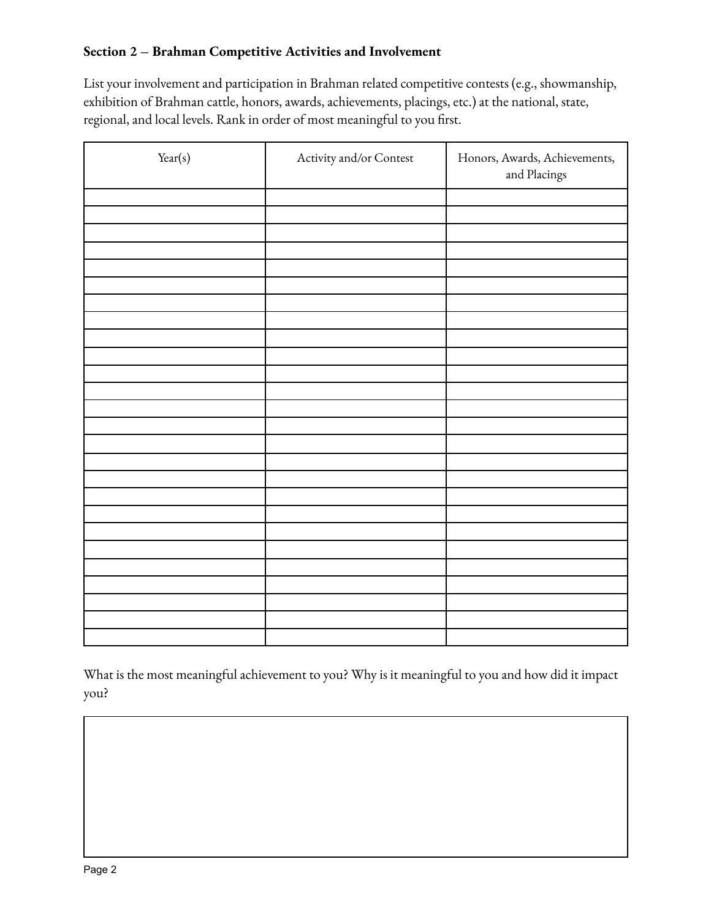### **Section 2 – Brahman Competitive Activities and Involvement**

List your involvement and participation in Brahman related competitive contests (e.g., showmanship, exhibition of Brahman cattle, honors, awards, achievements, placings, etc.) at the national, state, regional, and local levels. Rank in order of most meaningful to you first.

| Year(s) | Activity and/or Contest | Honors, Awards, Achievements,<br>and Placings |
|---------|-------------------------|-----------------------------------------------|
|         |                         |                                               |
|         |                         |                                               |
|         |                         |                                               |
|         |                         |                                               |
|         |                         |                                               |
|         |                         |                                               |
|         |                         |                                               |
|         |                         |                                               |
|         |                         |                                               |
|         |                         |                                               |
|         |                         |                                               |
|         |                         |                                               |
|         |                         |                                               |
|         |                         |                                               |
|         |                         |                                               |
|         |                         |                                               |
|         |                         |                                               |
|         |                         |                                               |
|         |                         |                                               |
|         |                         |                                               |
|         |                         |                                               |
|         |                         |                                               |
|         |                         |                                               |
|         |                         |                                               |
|         |                         |                                               |
|         |                         |                                               |

What is the most meaningful achievement to you? Why is it meaningful to you and how did it impact you?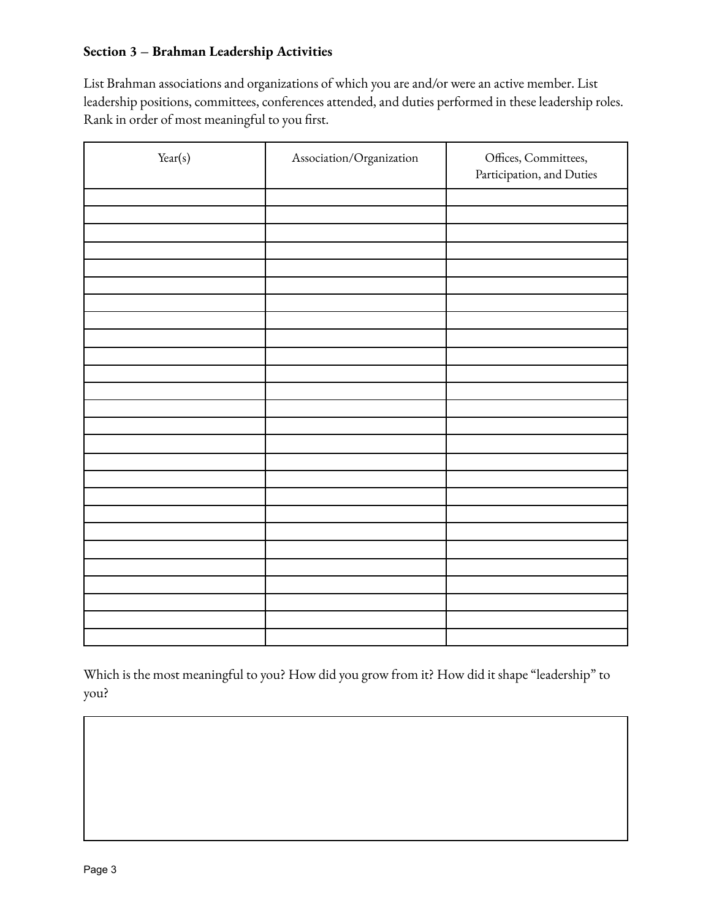#### **Section 3 – Brahman Leadership Activities**

List Brahman associations and organizations of which you are and/or were an active member. List leadership positions, committees, conferences attended, and duties performed in these leadership roles. Rank in order of most meaningful to you first.

| Year(s) | Association/Organization | Offices, Committees,<br>Participation, and Duties |
|---------|--------------------------|---------------------------------------------------|
|         |                          |                                                   |
|         |                          |                                                   |
|         |                          |                                                   |
|         |                          |                                                   |
|         |                          |                                                   |
|         |                          |                                                   |
|         |                          |                                                   |
|         |                          |                                                   |
|         |                          |                                                   |
|         |                          |                                                   |
|         |                          |                                                   |
|         |                          |                                                   |
|         |                          |                                                   |
|         |                          |                                                   |
|         |                          |                                                   |
|         |                          |                                                   |
|         |                          |                                                   |
|         |                          |                                                   |
|         |                          |                                                   |
|         |                          |                                                   |
|         |                          |                                                   |
|         |                          |                                                   |
|         |                          |                                                   |
|         |                          |                                                   |
|         |                          |                                                   |
|         |                          |                                                   |

Which is the most meaningful to you? How did you grow from it? How did it shape "leadership" to you?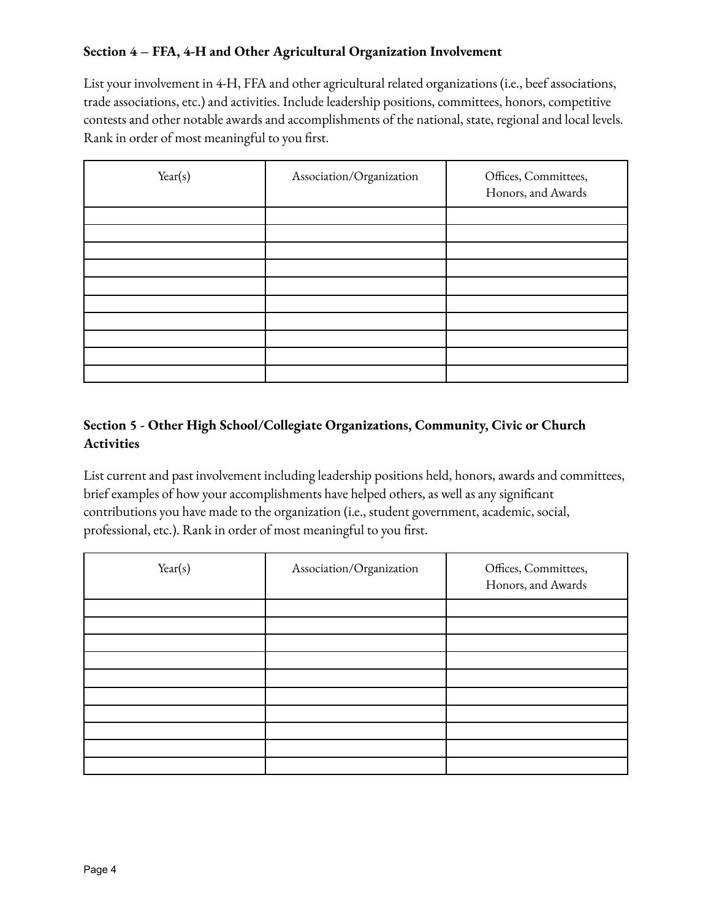## **Section 4 – FFA, 4-H and Other Agricultural Organization Involvement**

List your involvement in 4-H, FFA and other agricultural related organizations (i.e., beef associations, trade associations, etc.) and activities. Include leadership positions, committees, honors, competitive contests and other notable awards and accomplishments of the national, state, regional and local levels. Rank in order of most meaningful to you first.

| Year(s) | Association/Organization | Offices, Committees,<br>Honors, and Awards |
|---------|--------------------------|--------------------------------------------|
|         |                          |                                            |
|         |                          |                                            |
|         |                          |                                            |
|         |                          |                                            |
|         |                          |                                            |
|         |                          |                                            |
|         |                          |                                            |
|         |                          |                                            |
|         |                          |                                            |
|         |                          |                                            |

## **Section 5 - Other High School/Collegiate Organizations, Community, Civic or Church Activities**

List current and past involvement including leadership positions held, honors, awards and committees, brief examples of how your accomplishments have helped others, as well as any significant contributions you have made to the organization (i.e., student government, academic, social, professional, etc.). Rank in order of most meaningful to you first.

| Year(s) | Association/Organization | Offices, Committees,<br>Honors, and Awards |
|---------|--------------------------|--------------------------------------------|
|         |                          |                                            |
|         |                          |                                            |
|         |                          |                                            |
|         |                          |                                            |
|         |                          |                                            |
|         |                          |                                            |
|         |                          |                                            |
|         |                          |                                            |
|         |                          |                                            |
|         |                          |                                            |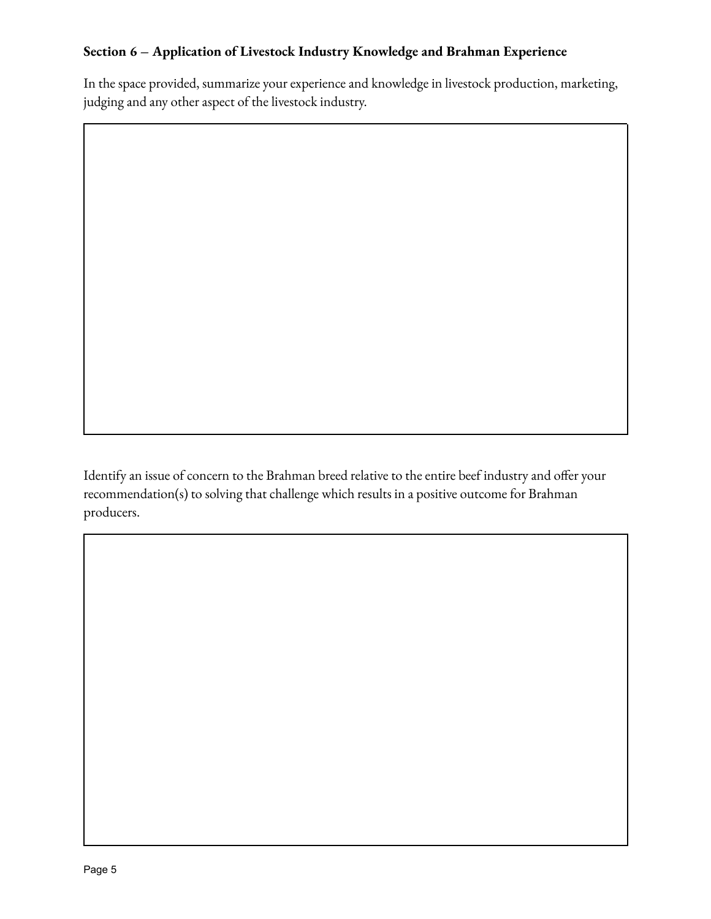## **Section 6 – Application of Livestock Industry Knowledge and Brahman Experience**

In the space provided, summarize your experience and knowledge in livestock production, marketing, judging and any other aspect of the livestock industry.

Identify an issue of concern to the Brahman breed relative to the entire beef industry and offer your recommendation(s) to solving that challenge which results in a positive outcome for Brahman producers.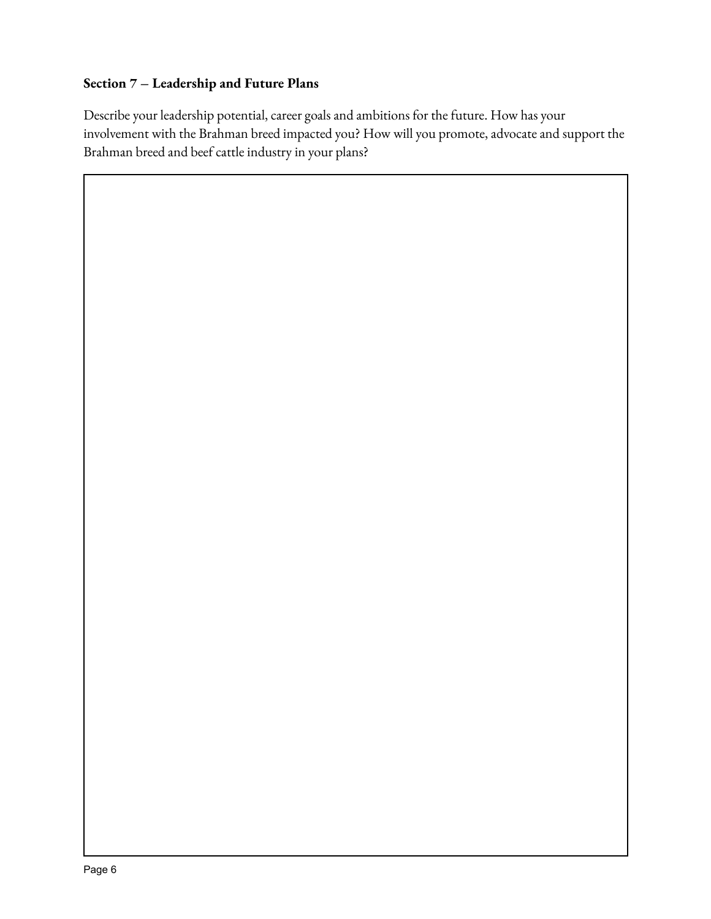## **Section 7 – Leadership and Future Plans**

Describe your leadership potential, career goals and ambitions for the future. How has your involvement with the Brahman breed impacted you? How will you promote, advocate and support the Brahman breed and beef cattle industry in your plans?